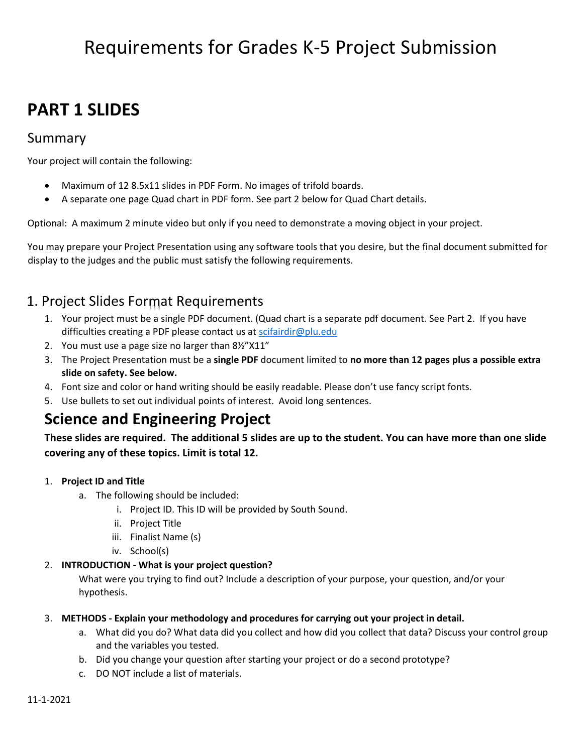# Requirements for Grades K-5 Project Submission

# **PART 1 SLIDES**

### Summary

Your project will contain the following:

- Maximum of 12 8.5x11 slides in PDF Form. No images of trifold boards.
- A separate one page Quad chart in PDF form. See part 2 below for Quad Chart details.

Optional: A maximum 2 minute video but only if you need to demonstrate a moving object in your project.

You may prepare your Project Presentation using any software tools that you desire, but the final document submitted for display to the judges and the public must satisfy the following requirements.

## 1. Project Slides Format Requirements

- 1. Your project must be a single PDF document. (Quad chart is a separate pdf document. See Part 2. If you have difficulties creating a PDF please contact us at [scifairdir@plu.edu](mailto:scifairdir@plu.edu)
- 2. You must use a page size no larger than 8½"X11"
- 3. The Project Presentation must be a **single PDF** document limited to **no more than 12 pages plus a possible extra slide on safety. See below.**
- 4. Font size and color or hand writing should be easily readable. Please don't use fancy script fonts.
- 5. Use bullets to set out individual points of interest. Avoid long sentences.

# **Science and Engineering Project**

**These slides are required. The additional 5 slides are up to the student. You can have more than one slide covering any of these topics. Limit is total 12.**

#### 1. **Project ID and Title**

- a. The following should be included:
	- i. Project ID. This ID will be provided by South Sound.
	- ii. Project Title
	- iii. Finalist Name (s)
	- iv. School(s)

#### 2. **INTRODUCTION - What is your project question?**

What were you trying to find out? Include a description of your purpose, your question, and/or your hypothesis.

#### 3. **METHODS - Explain your methodology and procedures for carrying out your project in detail.**

- a. What did you do? What data did you collect and how did you collect that data? Discuss your control group and the variables you tested.
- b. Did you change your question after starting your project or do a second prototype?
- c. DO NOT include a list of materials.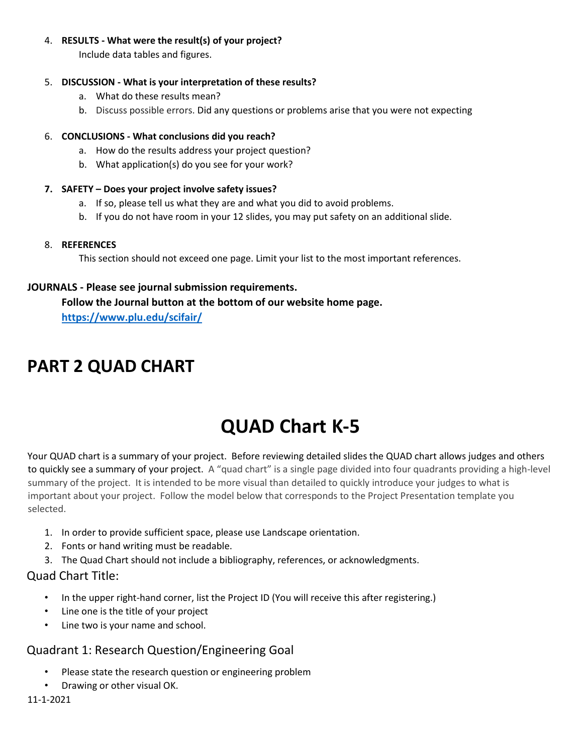#### 4. **RESULTS - What were the result(s) of your project?**

Include data tables and figures.

#### 5. **DISCUSSION - What is your interpretation of these results?**

- a. What do these results mean?
- b. Discuss possible errors. Did any questions or problems arise that you were not expecting

#### 6. **CONCLUSIONS - What conclusions did you reach?**

- a. How do the results address your project question?
- b. What application(s) do you see for your work?

#### **7. SAFETY – Does your project involve safety issues?**

- a. If so, please tell us what they are and what you did to avoid problems.
- b. If you do not have room in your 12 slides, you may put safety on an additional slide.

#### 8. **REFERENCES**

This section should not exceed one page. Limit your list to the most important references.

#### **JOURNALS - Please see journal submission requirements.**

**Follow the Journal button at the bottom of our website home page. <https://www.plu.edu/scifair/>**

# **PART 2 QUAD CHART**

# **QUAD Chart K-5**

Your QUAD chart is a summary of your project. Before reviewing detailed slides the QUAD chart allows judges and others to quickly see a summary of your project. A "quad chart" is a single page divided into four quadrants providing a high-level summary of the project. It is intended to be more visual than detailed to quickly introduce your judges to what is important about your project. Follow the model below that corresponds to the Project Presentation template you selected.

- 1. In order to provide sufficient space, please use Landscape orientation.
- 2. Fonts or hand writing must be readable.
- 3. The Quad Chart should not include a bibliography, references, or acknowledgments.

#### Quad Chart Title:

- In the upper right-hand corner, list the Project ID (You will receive this after registering.)
- Line one is the title of your project
- Line two is your name and school.

### Quadrant 1: Research Question/Engineering Goal

- Please state the research question or engineering problem
- Drawing or other visual OK.

#### 11-1-2021